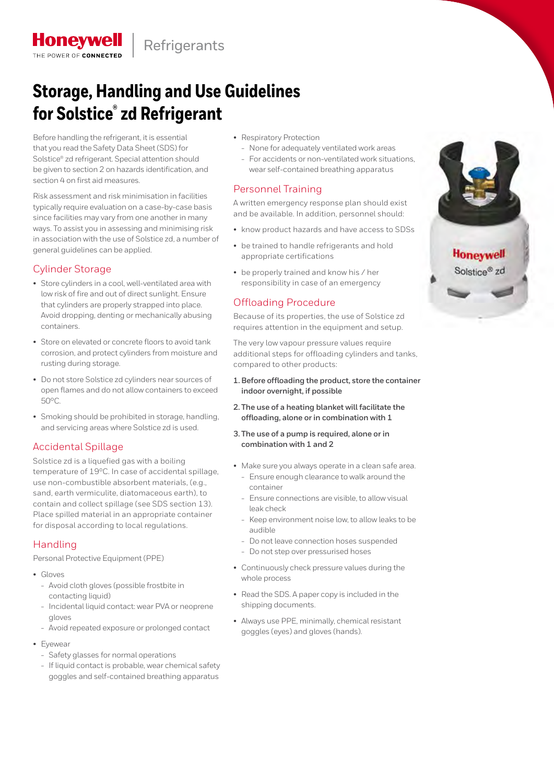

# **Storage, Handling and Use Guidelines for Solstice® zd Refrigerant**

Before handling the refrigerant, it is essential that you read the Safety Data Sheet (SDS) for Solstice® zd refrigerant. Special attention should be given to section 2 on hazards identification, and section 4 on first aid measures.

Risk assessment and risk minimisation in facilities typically require evaluation on a case-by-case basis since facilities may vary from one another in many ways. To assist you in assessing and minimising risk in association with the use of Solstice zd, a number of general guidelines can be applied.

#### Cylinder Storage

**Honeywell** 

THE POWER OF CON

- Store cylinders in a cool, well-ventilated area with low risk of fire and out of direct sunlight. Ensure that cylinders are properly strapped into place. Avoid dropping, denting or mechanically abusing containers.
- Store on elevated or concrete floors to avoid tank corrosion, and protect cylinders from moisture and rusting during storage.
- Do not store Solstice zd cylinders near sources of open flames and do not allow containers to exceed 50°C.
- Smoking should be prohibited in storage, handling, and servicing areas where Solstice zd is used.

#### Accidental Spillage

Solstice zd is a liquefied gas with a boiling temperature of 19ºC. In case of accidental spillage, use non-combustible absorbent materials, (e.g., sand, earth vermiculite, diatomaceous earth), to contain and collect spillage (see SDS section 13). Place spilled material in an appropriate container for disposal according to local regulations.

## Handling

Personal Protective Equipment (PPE)

- Gloves
	- Avoid cloth gloves (possible frostbite in contacting liquid)
	- Incidental liquid contact: wear PVA or neoprene gloves
	- Avoid repeated exposure or prolonged contact
- Eyewear
	- Safety glasses for normal operations
	- If liquid contact is probable, wear chemical safety goggles and self-contained breathing apparatus
- Respiratory Protection
	- None for adequately ventilated work areas
- For accidents or non-ventilated work situations, wear self-contained breathing apparatus

#### Personnel Training

A written emergency response plan should exist and be available. In addition, personnel should:

- know product hazards and have access to SDSs
- be trained to handle refrigerants and hold appropriate certifications
- be properly trained and know his / her responsibility in case of an emergency

#### Offloading Procedure

Because of its properties, the use of Solstice zd requires attention in the equipment and setup.

The very low vapour pressure values require additional steps for offloading cylinders and tanks, compared to other products:

- **1.Before offloading the product, store the container indoor overnight, if possible**
- **2. The use of a heating blanket will facilitate the offloading, alone or in combination with 1**
- **3. The use of a pump is required, alone or in combination with 1 and 2**
- Make sure you always operate in a clean safe area.
	- Ensure enough clearance to walk around the container
	- Ensure connections are visible, to allow visual leak check
	- Keep environment noise low, to allow leaks to be audible
	- Do not leave connection hoses suspended
	- Do not step over pressurised hoses
- Continuously check pressure values during the whole process
- Read the SDS. A paper copy is included in the shipping documents.
- Always use PPE, minimally, chemical resistant goggles (eyes) and gloves (hands).

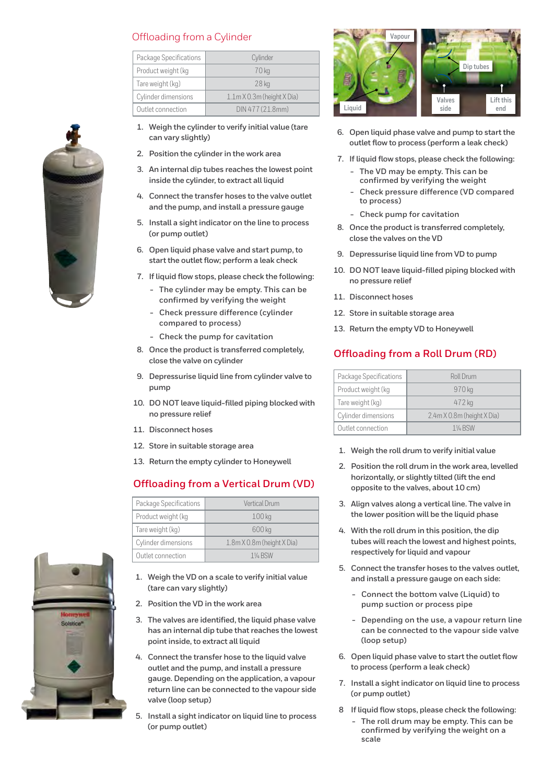#### Offloading from a Cylinder

| Package Specifications | Cylinder                                 |  |  |
|------------------------|------------------------------------------|--|--|
| Product weight (kg     | 70 kg                                    |  |  |
| Tare weight (kg)       | 28 <sub>kg</sub>                         |  |  |
| Cylinder dimensions    | $1.1m \times 0.3m$ (height $\times$ Dia) |  |  |
| Outlet connection      | DIN 477 (21.8mm)                         |  |  |

- **1. Weigh the cylinder to verify initial value (tare can vary slightly)**
- **2. Position the cylinder in the work area**
- **3. An internal dip tubes reaches the lowest point inside the cylinder, to extract all liquid**
- **4. Connect the transfer hoses to the valve outlet and the pump, and install a pressure gauge**
- **5. Install a sight indicator on the line to process (or pump outlet)**
- **6. Open liquid phase valve and start pump, to start the outlet flow; perform a leak check**
- **7. If liquid flow stops, please check the following:**
	- **- The cylinder may be empty. This can be confirmed by verifying the weight**
	- **- Check pressure difference (cylinder compared to process)**
	- **- Check the pump for cavitation**
- **8. Once the product is transferred completely, close the valve on cylinder**
- **9. Depressurise liquid line from cylinder valve to pump**
- **10. DO NOT leave liquid-filled piping blocked with no pressure relief**
- **11. Disconnect hoses**
- **12. Store in suitable storage area**
- **13. Return the empty cylinder to Honeywell**

#### **Offloading from a Vertical Drum (VD)**

| Package Specifications | Vertical Drum              |
|------------------------|----------------------------|
| Product weight (kg     | 100 <sub>kg</sub>          |
| Tare weight (kg)       | 600 kg                     |
| Cylinder dimensions    | 1.8m X 0.8m (height X Dia) |
| Outlet connection      | $1\%$ RSW                  |

- **1. Weigh the VD on a scale to verify initial value (tare can vary slightly)**
- **2. Position the VD in the work area**
- **3. The valves are identified, the liquid phase valve has an internal dip tube that reaches the lowest point inside, to extract all liquid**
- **4. Connect the transfer hose to the liquid valve outlet and the pump, and install a pressure gauge. Depending on the application, a vapour return line can be connected to the vapour side valve (loop setup)**
- **5. Install a sight indicator on liquid line to process (or pump outlet)**



- **6. Open liquid phase valve and pump to start the outlet flow to process (perform a leak check)**
- **7. If liquid flow stops, please check the following:**
	- **- The VD may be empty. This can be confirmed by verifying the weight**
	- **- Check pressure difference (VD compared to process)**
	- **- Check pump for cavitation**
- **8. Once the product is transferred completely, close the valves on the VD**
- **9. Depressurise liquid line from VD to pump**
- **10. DO NOT leave liquid-filled piping blocked with no pressure relief**
- **11. Disconnect hoses**
- **12. Store in suitable storage area**
- **13. Return the empty VD to Honeywell**

#### **Offloading from a Roll Drum (RD)**

| Package Specifications | Roll Drum                  |  |  |
|------------------------|----------------------------|--|--|
| Product weight (kg     | 970 kg                     |  |  |
| Tare weight (kg)       | 472 kg                     |  |  |
| Cylinder dimensions    | 2.4m X 0.8m (height X Dia) |  |  |
| Outlet connection      | $1\%$ RSW                  |  |  |

- **1. Weigh the roll drum to verify initial value**
- **2. Position the roll drum in the work area, levelled horizontally, or slightly tilted (lift the end opposite to the valves, about 10 cm)**
- **3. Align valves along a vertical line. The valve in the lower position will be the liquid phase**
- **4. With the roll drum in this position, the dip tubes will reach the lowest and highest points, respectively for liquid and vapour**
- **5. Connect the transfer hoses to the valves outlet, and install a pressure gauge on each side:**
	- **- Connect the bottom valve (Liquid) to pump suction or process pipe**
	- **- Depending on the use, a vapour return line can be connected to the vapour side valve (loop setup)**
- **6. Open liquid phase valve to start the outlet flow to process (perform a leak check)**
- **7. Install a sight indicator on liquid line to process (or pump outlet)**
- **8 If liquid flow stops, please check the following:**
	- **- The roll drum may be empty. This can be confirmed by verifying the weight on a scale**



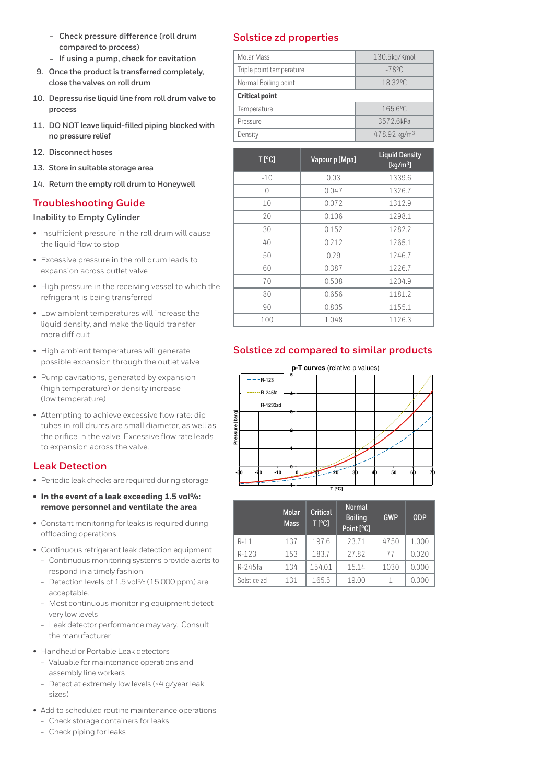- **- Check pressure difference (roll drum compared to process)**
- **- If using a pump, check for cavitation**
- **9. Once the product is transferred completely, close the valves on roll drum**
- **10. Depressurise liquid line from roll drum valve to process**
- **11. DO NOT leave liquid-filled piping blocked with no pressure relief**
- **12. Disconnect hoses**
- **13. Store in suitable storage area**
- **14. Return the empty roll drum to Honeywell**

#### **Troubleshooting Guide**

**Inability to Empty Cylinder**

- Insufficient pressure in the roll drum will cause the liquid flow to stop
- Excessive pressure in the roll drum leads to expansion across outlet valve
- High pressure in the receiving vessel to which the refrigerant is being transferred
- Low ambient temperatures will increase the liquid density, and make the liquid transfer more difficult
- High ambient temperatures will generate possible expansion through the outlet valve
- Pump cavitations, generated by expansion (high temperature) or density increase (low temperature)
- Attempting to achieve excessive flow rate: dip tubes in roll drums are small diameter, as well as the orifice in the valve. Excessive flow rate leads to expansion across the valve.

#### **Leak Detection**

- Periodic leak checks are required during storage
- **• In the event of a leak exceeding 1.5 vol%: remove personnel and ventilate the area**
- Constant monitoring for leaks is required during offloading operations
- Continuous refrigerant leak detection equipment
	- Continuous monitoring systems provide alerts to respond in a timely fashion
	- Detection levels of 1.5 vol% (15,000 ppm) are acceptable.
	- Most continuous monitoring equipment detect very low levels
	- Leak detector performance may vary. Consult the manufacturer
- Handheld or Portable Leak detectors
	- Valuable for maintenance operations and assembly line workers
	- Detect at extremely low levels (<4 g/year leak sizes)
- Add to scheduled routine maintenance operations
	- Check storage containers for leaks
	- Check piping for leaks

#### **Solstice zd properties**

| Molar Mass               | 130.5kg/Kmol             |  |  |
|--------------------------|--------------------------|--|--|
| Triple point temperature | $-78^{\circ}$ C          |  |  |
| Normal Boiling point     | 18.32°C                  |  |  |
| <b>Critical point</b>    |                          |  |  |
| Temperature              | 165.6°C                  |  |  |
| Pressure                 | 3572.6kPa                |  |  |
| Density                  | 478.92 kg/m <sup>3</sup> |  |  |

| $T$ [°C] | Vapour p [Mpa] | <b>Liquid Density</b><br>[ $kg/m3$ ] |  |
|----------|----------------|--------------------------------------|--|
| $-10$    | 0.03           | 1339.6                               |  |
| 0        | 0.047          | 1326.7                               |  |
| 10       | 0.072          | 1312.9                               |  |
| 20       | 0.106          | 1298.1                               |  |
| 30       | 0.152          | 1282.2                               |  |
| 40       | 0.212          | 1265.1                               |  |
| 50       | 0.29           | 1246.7                               |  |
| 60       | 0.387          | 1226.7                               |  |
| 70       | 0.508          | 1204.9                               |  |
| 80       | 0.656          | 1181.2                               |  |
| 90       | 0.835          | 1155.1                               |  |
| 100      | 1.048          | 1126.3                               |  |

## **Solstice zd compared to similar products**



|             | <b>Molar</b><br><b>Mass</b> | <b>Critical</b><br>T[°C] | <b>Normal</b><br><b>Boiling</b><br>Point <sup>[°</sup> C] | <b>GWP</b> | <b>ODP</b> |
|-------------|-----------------------------|--------------------------|-----------------------------------------------------------|------------|------------|
| $R-11$      | 137                         | 197.6                    | 23.71                                                     | 4750       | 1.000      |
| $R-123$     | 153                         | 183.7                    | 27.82                                                     | 77         | 0.020      |
| R-245fa     | 134                         | 154.01                   | 15.14                                                     | 1030       | 0.000      |
| Solstice zd | 131                         | 165.5                    | 19.00                                                     |            | 0.000      |